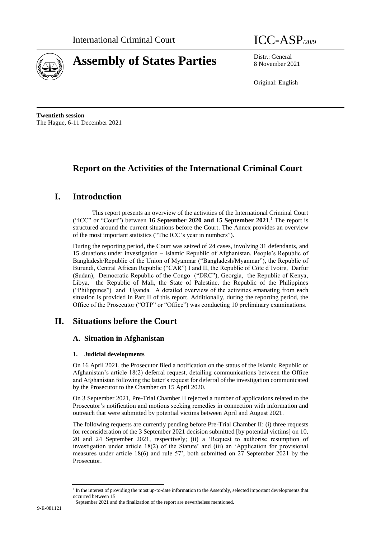

# **Assembly of States Parties** Distr.: General



8 November 2021

Original: English

**Twentieth session** The Hague, 6-11 December 2021

## **Report on the Activities of the International Criminal Court**

## **I. Introduction**

This report presents an overview of the activities of the International Criminal Court ("ICC" or "Court") between **16 September 2020 and 15 September 2021**. <sup>1</sup> The report is structured around the current situations before the Court. The Annex provides an overview of the most important statistics ("The ICC's year in numbers").

During the reporting period, the Court was seized of 24 cases, involving 31 defendants, and 15 situations under investigation – Islamic Republic of Afghanistan, People's Republic of Bangladesh/Republic of the Union of Myanmar ("Bangladesh/Myanmar"), the Republic of Burundi, Central African Republic ("CAR") I and II, the Republic of Côte d'Ivoire, Darfur (Sudan), Democratic Republic of the Congo ("DRC"), Georgia, the Republic of Kenya, Libya, the Republic of Mali, the State of Palestine, the Republic of the Philippines ("Philippines") and Uganda. A detailed overview of the activities emanating from each situation is provided in Part II of this report. Additionally, during the reporting period, the Office of the Prosecutor ("OTP" or "Office") was conducting 10 preliminary examinations.

## **II. Situations before the Court**

### **A. Situation in Afghanistan**

### **1. Judicial developments**

On 16 April 2021, the Prosecutor filed a notification on the status of the Islamic Republic of Afghanistan's article 18(2) deferral request, detailing communications between the Office and Afghanistan following the latter's request for deferral of the investigation communicated by the Prosecutor to the Chamber on 15 April 2020.

On 3 September 2021, Pre-Trial Chamber II rejected a number of applications related to the Prosecutor's notification and motions seeking remedies in connection with information and outreach that were submitted by potential victims between April and August 2021.

The following requests are currently pending before Pre-Trial Chamber II: (i) three requests for reconsideration of the 3 September 2021 decision submitted [by potential victims] on 10, 20 and 24 September 2021, respectively; (ii) a 'Request to authorise resumption of investigation under article 18(2) of the Statute' and (iii) an 'Application for provisional measures under article 18(6) and rule 57', both submitted on 27 September 2021 by the Prosecutor.

<sup>&</sup>lt;sup>1</sup> In the interest of providing the most up-to-date information to the Assembly, selected important developments that occurred between 15

September 2021 and the finalization of the report are nevertheless mentioned.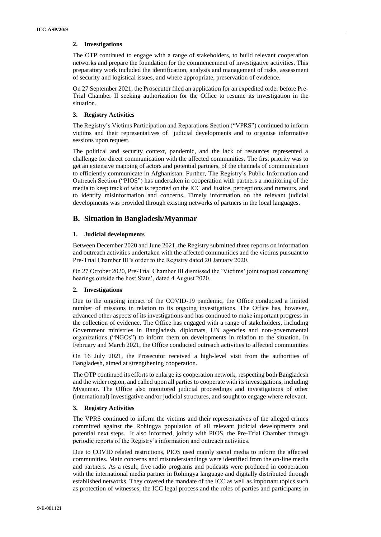### **2. Investigations**

The OTP continued to engage with a range of stakeholders, to build relevant cooperation networks and prepare the foundation for the commencement of investigative activities. This preparatory work included the identification, analysis and management of risks, assessment of security and logistical issues, and where appropriate, preservation of evidence.

On 27 September 2021, the Prosecutor filed an application for an expedited order before Pre-Trial Chamber II seeking authorization for the Office to resume its investigation in the situation.

### **3. Registry Activities**

The Registry's Victims Participation and Reparations Section ("VPRS") continued to inform victims and their representatives of judicial developments and to organise informative sessions upon request.

The political and security context, pandemic, and the lack of resources represented a challenge for direct communication with the affected communities. The first priority was to get an extensive mapping of actors and potential partners, of the channels of communication to efficiently communicate in Afghanistan. Further, The Registry's Public Information and Outreach Section ("PIOS") has undertaken in cooperation with partners a monitoring of the media to keep track of what is reported on the ICC and Justice, perceptions and rumours, and to identify misinformation and concerns. Timely information on the relevant judicial developments was provided through existing networks of partners in the local languages.

### **B. Situation in Bangladesh/Myanmar**

### **1. Judicial developments**

Between December 2020 and June 2021, the Registry submitted three reports on information and outreach activities undertaken with the affected communities and the victims pursuant to Pre-Trial Chamber III's order to the Registry dated 20 January 2020.

On 27 October 2020, Pre-Trial Chamber III dismissed the 'Victims' joint request concerning hearings outside the host State', dated 4 August 2020.

### **2. Investigations**

Due to the ongoing impact of the COVID-19 pandemic, the Office conducted a limited number of missions in relation to its ongoing investigations. The Office has, however, advanced other aspects of its investigations and has continued to make important progress in the collection of evidence. The Office has engaged with a range of stakeholders, including Government ministries in Bangladesh, diplomats, UN agencies and non-governmental organizations ("NGOs") to inform them on developments in relation to the situation. In February and March 2021, the Office conducted outreach activities to affected communities

On 16 July 2021, the Prosecutor received a high-level visit from the authorities of Bangladesh, aimed at strengthening cooperation.

The OTP continued its efforts to enlarge its cooperation network, respecting both Bangladesh and the wider region, and called upon all parties to cooperate with its investigations, including Myanmar. The Office also monitored judicial proceedings and investigations of other (international) investigative and/or judicial structures, and sought to engage where relevant.

### **3. Registry Activities**

The VPRS continued to inform the victims and their representatives of the alleged crimes committed against the Rohingya population of all relevant judicial developments and potential next steps. It also informed, jointly with PIOS, the Pre-Trial Chamber through periodic reports of the Registry's information and outreach activities.

Due to COVID related restrictions, PIOS used mainly social media to inform the affected communities. Main concerns and misunderstandings were identified from the on-line media and partners. As a result, five radio programs and podcasts were produced in cooperation with the international media partner in Rohingya language and digitally distributed through established networks. They covered the mandate of the ICC as well as important topics such as protection of witnesses, the ICC legal process and the roles of parties and participants in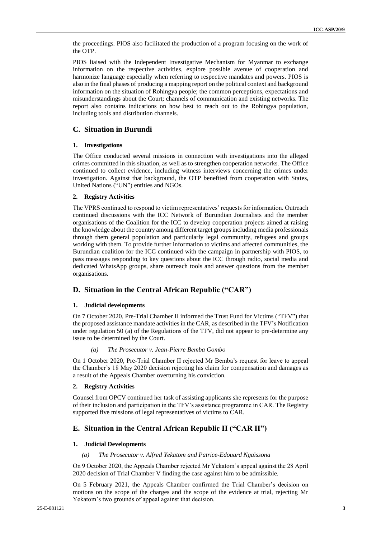the proceedings. PIOS also facilitated the production of a program focusing on the work of the OTP.

PIOS liaised with the Independent Investigative Mechanism for Myanmar to exchange information on the respective activities, explore possible avenue of cooperation and harmonize language especially when referring to respective mandates and powers. PIOS is also in the final phases of producing a mapping report on the political context and background information on the situation of Rohingya people; the common perceptions, expectations and misunderstandings about the Court; channels of communication and existing networks. The report also contains indications on how best to reach out to the Rohingya population, including tools and distribution channels.

### **C. Situation in Burundi**

### **1. Investigations**

The Office conducted several missions in connection with investigations into the alleged crimes committed in this situation, as well as to strengthen cooperation networks. The Office continued to collect evidence, including witness interviews concerning the crimes under investigation. Against that background, the OTP benefited from cooperation with States, United Nations ("UN") entities and NGOs.

### **2. Registry Activities**

The VPRS continued to respond to victim representatives' requests for information. Outreach continued discussions with the ICC Network of Burundian Journalists and the member organisations of the Coalition for the ICC to develop cooperation projects aimed at raising the knowledge about the country among different target groups including media professionals through them general population and particularly legal community, refugees and groups working with them. To provide further information to victims and affected communities, the Burundian coalition for the ICC continued with the campaign in partnership with PIOS, to pass messages responding to key questions about the ICC through radio, social media and dedicated WhatsApp groups, share outreach tools and answer questions from the member organisations.

### **D. Situation in the Central African Republic ("CAR")**

### **1. Judicial developments**

On 7 October 2020, Pre-Trial Chamber II informed the Trust Fund for Victims ("TFV") that the proposed assistance mandate activities in the CAR, as described in the TFV's Notification under regulation 50 (a) of the Regulations of the TFV, did not appear to pre-determine any issue to be determined by the Court.

### *(a) The Prosecutor v. Jean-Pierre Bemba Gombo*

On 1 October 2020, Pre-Trial Chamber II rejected Mr Bemba's request for leave to appeal the Chamber's 18 May 2020 decision rejecting his claim for compensation and damages as a result of the Appeals Chamber overturning his conviction.

### **2. Registry Activities**

Counsel from OPCV continued her task of assisting applicants she represents for the purpose of their inclusion and participation in the TFV's assistance programme in CAR. The Registry supported five missions of legal representatives of victims to CAR.

### **E. Situation in the Central African Republic II ("CAR II")**

### **1. Judicial Developments**

### *(a) The Prosecutor v. Alfred Yekatom and Patrice-Edouard Ngaïssona*

On 9 October 2020, the Appeals Chamber rejected Mr Yekatom's appeal against the 28 April 2020 decision of Trial Chamber V finding the case against him to be admissible.

On 5 February 2021, the Appeals Chamber confirmed the Trial Chamber's decision on motions on the scope of the charges and the scope of the evidence at trial, rejecting Mr Yekatom's two grounds of appeal against that decision.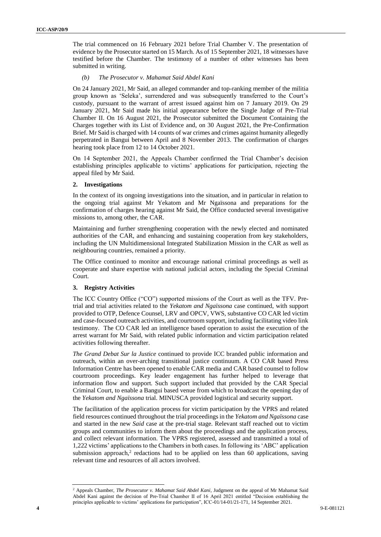The trial commenced on 16 February 2021 before Trial Chamber V. The presentation of evidence by the Prosecutor started on 15 March. As of 15 September 2021, 18 witnesses have testified before the Chamber. The testimony of a number of other witnesses has been submitted in writing.

#### *(b) The Prosecutor v. Mahamat Said Abdel Kani*

On 24 January 2021, Mr Said, an alleged commander and top-ranking member of the militia group known as 'Seleka', surrendered and was subsequently transferred to the Court's custody, pursuant to the warrant of arrest issued against him on 7 January 2019. On 29 January 2021, Mr Said made his initial appearance before the Single Judge of Pre-Trial Chamber II. On 16 August 2021, the Prosecutor submitted the Document Containing the Charges together with its List of Evidence and, on 30 August 2021, the Pre-Confirmation Brief. Mr Said is charged with 14 counts of war crimes and crimes against humanity allegedly perpetrated in Bangui between April and 8 November 2013. The confirmation of charges hearing took place from 12 to 14 October 2021.

On 14 September 2021, the Appeals Chamber confirmed the Trial Chamber's decision establishing principles applicable to victims' applications for participation, rejecting the appeal filed by Mr Said.

### **2. Investigations**

In the context of its ongoing investigations into the situation, and in particular in relation to the ongoing trial against Mr Yekatom and Mr Ngaïssona and preparations for the confirmation of charges hearing against Mr Said, the Office conducted several investigative missions to, among other, the CAR.

Maintaining and further strengthening cooperation with the newly elected and nominated authorities of the CAR, and enhancing and sustaining cooperation from key stakeholders, including the UN Multidimensional Integrated Stabilization Mission in the CAR as well as neighbouring countries, remained a priority.

The Office continued to monitor and encourage national criminal proceedings as well as cooperate and share expertise with national judicial actors, including the Special Criminal Court.

### **3. Registry Activities**

The ICC Country Office ("CO") supported missions of the Court as well as the TFV. Pretrial and trial activities related to the *Yekatom and Ngaïssona* case continued, with support provided to OTP, Defence Counsel, LRV and OPCV, VWS, substantive CO CAR led victim and case-focused outreach activities, and courtroom support, including facilitating video link testimony. The CO CAR led an intelligence based operation to assist the execution of the arrest warrant for Mr Said, with related public information and victim participation related activities following thereafter.

*The Grand Debat Sur la Justice* continued to provide ICC branded public information and outreach, within an over-arching transitional justice continuum. A CO CAR based Press Information Centre has been opened to enable CAR media and CAR based counsel to follow courtroom proceedings. Key leader engagement has further helped to leverage that information flow and support. Such support included that provided by the CAR Special Criminal Court, to enable a Bangui based venue from which to broadcast the opening day of the *Yekatom and Ngaïssona* trial. MINUSCA provided logistical and security support.

The facilitation of the application process for victim participation by the VPRS and related field resources continued throughout the trial proceedings in the *Yekatom and Ngaïssona* case and started in the new *Said* case at the pre-trial stage. Relevant staff reached out to victim groups and communities to inform them about the proceedings and the application process, and collect relevant information. The VPRS registered, assessed and transmitted a total of 1,222 victims' applications to the Chambers in both cases. In following its 'ABC' application submission approach, $2$  redactions had to be applied on less than 60 applications, saving relevant time and resources of all actors involved.

<sup>&</sup>lt;sup>2</sup> Appeals Chamber, *The Prosecutor v. Mahamat Said Abdel Kani*, Judgment on the appeal of Mr Mahamat Said Abdel Kani against the decision of Pre-Trial Chamber II of 16 April 2021 entitled "Decision establishing the principles applicable to victims' applications for participation", ICC-01/14-01/21-171, 14 September 2021.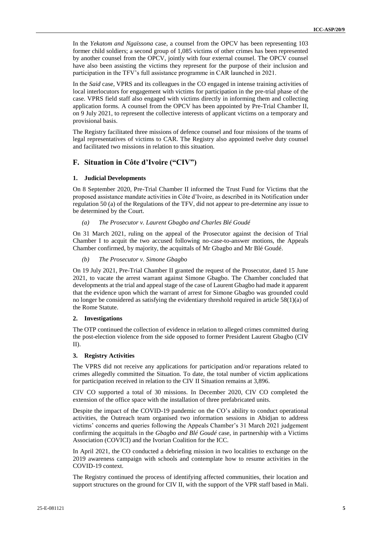In the *Yekatom and Ngaïssona* case, a counsel from the OPCV has been representing 103 former child soldiers; a second group of 1,085 victims of other crimes has been represented by another counsel from the OPCV, jointly with four external counsel. The OPCV counsel have also been assisting the victims they represent for the purpose of their inclusion and participation in the TFV's full assistance programme in CAR launched in 2021.

In the *Said* case, VPRS and its colleagues in the CO engaged in intense training activities of local interlocutors for engagement with victims for participation in the pre-trial phase of the case. VPRS field staff also engaged with victims directly in informing them and collecting application forms. A counsel from the OPCV has been appointed by Pre-Trial Chamber II, on 9 July 2021, to represent the collective interests of applicant victims on a temporary and provisional basis.

The Registry facilitated three missions of defence counsel and four missions of the teams of legal representatives of victims to CAR. The Registry also appointed twelve duty counsel and facilitated two missions in relation to this situation.

### **F. Situation in Côte d'Ivoire ("CIV")**

### **1. Judicial Developments**

On 8 September 2020, Pre-Trial Chamber II informed the Trust Fund for Victims that the proposed assistance mandate activities in Côte d'Ivoire, as described in its Notification under regulation 50 (a) of the Regulations of the TFV, did not appear to pre-determine any issue to be determined by the Court.

### *(a) The Prosecutor v. Laurent Gbagbo and Charles Blé Goudé*

On 31 March 2021, ruling on the appeal of the Prosecutor against the decision of Trial Chamber I to acquit the two accused following no-case-to-answer motions, the Appeals Chamber confirmed, by majority, the acquittals of Mr Gbagbo and Mr Blé Goudé.

### *(b) The Prosecutor v. Simone Gbagbo*

On 19 July 2021, Pre-Trial Chamber II granted the request of the Prosecutor, dated 15 June 2021, to vacate the arrest warrant against Simone Gbagbo. The Chamber concluded that developments at the trial and appeal stage of the case of Laurent Gbagbo had made it apparent that the evidence upon which the warrant of arrest for Simone Gbagbo was grounded could no longer be considered as satisfying the evidentiary threshold required in article 58(1)(a) of the Rome Statute.

### **2. Investigations**

The OTP continued the collection of evidence in relation to alleged crimes committed during the post-election violence from the side opposed to former President Laurent Gbagbo (CIV II).

### **3. Registry Activities**

The VPRS did not receive any applications for participation and/or reparations related to crimes allegedly committed the Situation. To date, the total number of victim applications for participation received in relation to the CIV II Situation remains at 3,896.

CIV CO supported a total of 30 missions. In December 2020, CIV CO completed the extension of the office space with the installation of three prefabricated units.

Despite the impact of the COVID-19 pandemic on the CO's ability to conduct operational activities, the Outreach team organised two information sessions in Abidjan to address victims' concerns and queries following the Appeals Chamber's 31 March 2021 judgement confirming the acquittals in the *Gbagbo and Blé Goudé* case, in partnership with a Victims Association (COVICI) and the Ivorian Coalition for the ICC.

In April 2021, the CO conducted a debriefing mission in two localities to exchange on the 2019 awareness campaign with schools and contemplate how to resume activities in the COVID-19 context.

The Registry continued the process of identifying affected communities, their location and support structures on the ground for CIV II, with the support of the VPR staff based in Mali.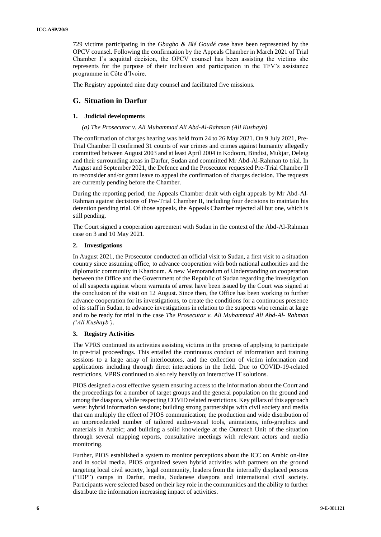729 victims participating in the *Gbagbo & Blé Goudé* case have been represented by the OPCV counsel. Following the confirmation by the Appeals Chamber in March 2021 of Trial Chamber I's acquittal decision, the OPCV counsel has been assisting the victims she represents for the purpose of their inclusion and participation in the TFV's assistance programme in Côte d'Ivoire.

The Registry appointed nine duty counsel and facilitated five missions.

### **G. Situation in Darfur**

### **1. Judicial developments**

#### *(a) The Prosecutor v. Ali Muhammad Ali Abd-Al-Rahman (Ali Kushayb)*

The confirmation of charges hearing was held from 24 to 26 May 2021. On 9 July 2021, Pre-Trial Chamber II confirmed 31 counts of war crimes and crimes against humanity allegedly committed between August 2003 and at least April 2004 in Kodoom, Bindisi, Mukjar, Deleig and their surrounding areas in Darfur, Sudan and committed Mr Abd-Al-Rahman to trial. In August and September 2021, the Defence and the Prosecutor requested Pre-Trial Chamber II to reconsider and/or grant leave to appeal the confirmation of charges decision. The requests are currently pending before the Chamber.

During the reporting period, the Appeals Chamber dealt with eight appeals by Mr Abd-Al-Rahman against decisions of Pre-Trial Chamber II, including four decisions to maintain his detention pending trial. Of those appeals, the Appeals Chamber rejected all but one, which is still pending.

The Court signed a cooperation agreement with Sudan in the context of the Abd-Al-Rahman case on 3 and 10 May 2021.

#### **2. Investigations**

In August 2021, the Prosecutor conducted an official visit to Sudan, a first visit to a situation country since assuming office, to advance cooperation with both national authorities and the diplomatic community in Khartoum. A new Memorandum of Understanding on cooperation between the Office and the Government of the Republic of Sudan regarding the investigation of all suspects against whom warrants of arrest have been issued by the Court was signed at the conclusion of the visit on 12 August. Since then, the Office has been working to further advance cooperation for its investigations, to create the conditions for a continuous presence of its staff in Sudan, to advance investigations in relation to the suspects who remain at large and to be ready for trial in the case *The Prosecutor v. Ali Muhammad Ali Abd-Al- Rahman ('Ali Kushayb')*.

### **3. Registry Activities**

The VPRS continued its activities assisting victims in the process of applying to participate in pre-trial proceedings. This entailed the continuous conduct of information and training sessions to a large array of interlocutors, and the collection of victim information and applications including through direct interactions in the field. Due to COVID-19-related restrictions, VPRS continued to also rely heavily on interactive IT solutions.

PIOS designed a cost effective system ensuring access to the information about the Court and the proceedings for a number of target groups and the general population on the ground and among the diaspora, while respecting COVID related restrictions. Key pillars of this approach were: hybrid information sessions; building strong partnerships with civil society and media that can multiply the effect of PIOS communication; the production and wide distribution of an unprecedented number of tailored audio-visual tools, animations, info-graphics and materials in Arabic; and building a solid knowledge at the Outreach Unit of the situation through several mapping reports, consultative meetings with relevant actors and media monitoring.

Further, PIOS established a system to monitor perceptions about the ICC on Arabic on-line and in social media. PIOS organized seven hybrid activities with partners on the ground targeting local civil society, legal community, leaders from the internally displaced persons ("IDP") camps in Darfur, media, Sudanese diaspora and international civil society. Participants were selected based on their key role in the communities and the ability to further distribute the information increasing impact of activities.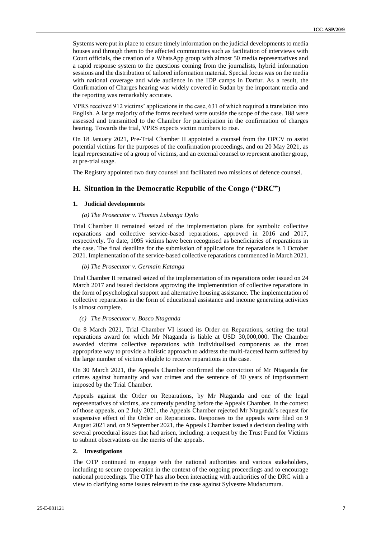Systems were put in place to ensure timely information on the judicial developments to media houses and through them to the affected communities such as facilitation of interviews with Court officials, the creation of a WhatsApp group with almost 50 media representatives and a rapid response system to the questions coming from the journalists, hybrid information sessions and the distribution of tailored information material. Special focus was on the media with national coverage and wide audience in the IDP camps in Darfur. As a result, the Confirmation of Charges hearing was widely covered in Sudan by the important media and the reporting was remarkably accurate.

VPRS received 912 victims' applications in the case, 631 of which required a translation into English. A large majority of the forms received were outside the scope of the case. 188 were assessed and transmitted to the Chamber for participation in the confirmation of charges hearing. Towards the trial, VPRS expects victim numbers to rise.

On 18 January 2021, Pre-Trial Chamber II appointed a counsel from the OPCV to assist potential victims for the purposes of the confirmation proceedings, and on 20 May 2021, as legal representative of a group of victims, and an external counsel to represent another group, at pre-trial stage.

The Registry appointed two duty counsel and facilitated two missions of defence counsel.

### **H. Situation in the Democratic Republic of the Congo ("DRC")**

### **1. Judicial developments**

### *(a) The Prosecutor v. Thomas Lubanga Dyilo*

Trial Chamber II remained seized of the implementation plans for symbolic collective reparations and collective service-based reparations, approved in 2016 and 2017, respectively. To date, 1095 victims have been recognised as beneficiaries of reparations in the case. The final deadline for the submission of applications for reparations is 1 October 2021. Implementation of the service-based collective reparations commenced in March 2021.

#### *(b) The Prosecutor v. Germain Katanga*

Trial Chamber II remained seized of the implementation of its reparations order issued on 24 March 2017 and issued decisions approving the implementation of collective reparations in the form of psychological support and alternative housing assistance. The implementation of collective reparations in the form of educational assistance and income generating activities is almost complete.

#### *(c) The Prosecutor v. Bosco Ntaganda*

On 8 March 2021, Trial Chamber VI issued its Order on Reparations, setting the total reparations award for which Mr Ntaganda is liable at USD 30,000,000. The Chamber awarded victims collective reparations with individualised components as the most appropriate way to provide a holistic approach to address the multi-faceted harm suffered by the large number of victims eligible to receive reparations in the case.

On 30 March 2021, the Appeals Chamber confirmed the conviction of Mr Ntaganda for crimes against humanity and war crimes and the sentence of 30 years of imprisonment imposed by the Trial Chamber.

Appeals against the Order on Reparations, by Mr Ntaganda and one of the legal representatives of victims, are currently pending before the Appeals Chamber. In the context of those appeals, on 2 July 2021, the Appeals Chamber rejected Mr Ntaganda's request for suspensive effect of the Order on Reparations. Responses to the appeals were filed on 9 August 2021 and, on 9 September 2021, the Appeals Chamber issued a decision dealing with several procedural issues that had arisen, including. a request by the Trust Fund for Victims to submit observations on the merits of the appeals.

### **2. Investigations**

The OTP continued to engage with the national authorities and various stakeholders, including to secure cooperation in the context of the ongoing proceedings and to encourage national proceedings. The OTP has also been interacting with authorities of the DRC with a view to clarifying some issues relevant to the case against Sylvestre Mudacumura.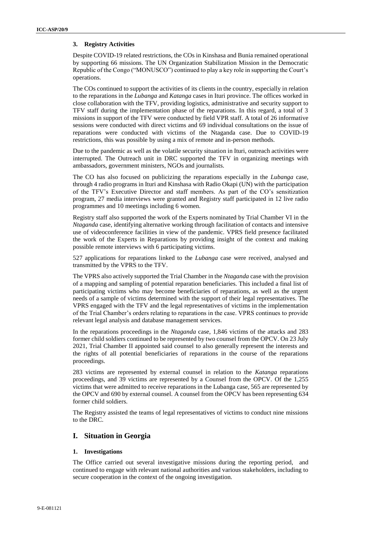### **3. Registry Activities**

Despite COVID-19 related restrictions, the COs in Kinshasa and Bunia remained operational by supporting 66 missions. The UN Organization Stabilization Mission in the Democratic Republic of the Congo ("MONUSCO") continued to play a key role in supporting the Court's operations.

The COs continued to support the activities of its clients in the country, especially in relation to the reparations in the *Lubanga* and *Katanga* cases in Ituri province. The offices worked in close collaboration with the TFV, providing logistics, administrative and security support to TFV staff during the implementation phase of the reparations. In this regard, a total of 3 missions in support of the TFV were conducted by field VPR staff. A total of 26 informative sessions were conducted with direct victims and 69 individual consultations on the issue of reparations were conducted with victims of the Ntaganda case. Due to COVID-19 restrictions, this was possible by using a mix of remote and in-person methods.

Due to the pandemic as well as the volatile security situation in Ituri, outreach activities were interrupted. The Outreach unit in DRC supported the TFV in organizing meetings with ambassadors, government ministers, NGOs and journalists.

The CO has also focused on publicizing the reparations especially in the *Lubanga* case, through 4 radio programs in Ituri and Kinshasa with Radio Okapi (UN) with the participation of the TFV's Executive Director and staff members. As part of the CO's sensitization program, 27 media interviews were granted and Registry staff participated in 12 live radio programmes and 10 meetings including 6 women.

Registry staff also supported the work of the Experts nominated by Trial Chamber VI in the *Ntaganda* case, identifying alternative working through facilitation of contacts and intensive use of videoconference facilities in view of the pandemic. VPRS field presence facilitated the work of the Experts in Reparations by providing insight of the context and making possible remote interviews with 6 participating victims.

527 applications for reparations linked to the *Lubanga* case were received, analysed and transmitted by the VPRS to the TFV.

The VPRS also actively supported the Trial Chamber in the *Ntaganda* case with the provision of a mapping and sampling of potential reparation beneficiaries. This included a final list of participating victims who may become beneficiaries of reparations, as well as the urgent needs of a sample of victims determined with the support of their legal representatives. The VPRS engaged with the TFV and the legal representatives of victims in the implementation of the Trial Chamber's orders relating to reparations in the case. VPRS continues to provide relevant legal analysis and database management services.

In the reparations proceedings in the *Ntaganda* case, 1,846 victims of the attacks and 283 former child soldiers continued to be represented by two counsel from the OPCV. On 23 July 2021, Trial Chamber II appointed said counsel to also generally represent the interests and the rights of all potential beneficiaries of reparations in the course of the reparations proceedings.

283 victims are represented by external counsel in relation to the *Katanga* reparations proceedings, and 39 victims are represented by a Counsel from the OPCV. Of the 1,255 victims that were admitted to receive reparations in the Lubanga case, 565 are represented by the OPCV and 690 by external counsel. A counsel from the OPCV has been representing 634 former child soldiers.

The Registry assisted the teams of legal representatives of victims to conduct nine missions to the DRC.

### **I. Situation in Georgia**

### **1. Investigations**

The Office carried out several investigative missions during the reporting period, and continued to engage with relevant national authorities and various stakeholders, including to secure cooperation in the context of the ongoing investigation.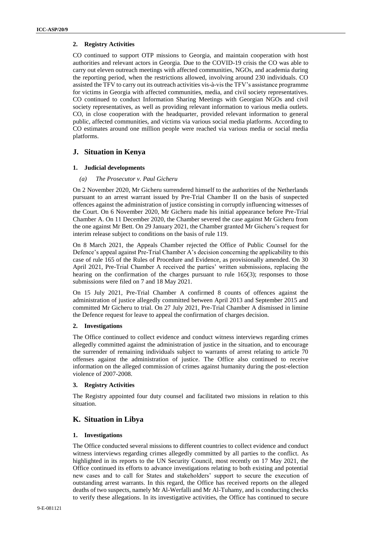### **2. Registry Activities**

CO continued to support OTP missions to Georgia, and maintain cooperation with host authorities and relevant actors in Georgia. Due to the COVID-19 crisis the CO was able to carry out eleven outreach meetings with affected communities, NGOs, and academia during the reporting period, when the restrictions allowed, involving around 230 individuals. CO assisted the TFV to carry out its outreach activities vis-à-vis the TFV's assistance programme for victims in Georgia with affected communities, media, and civil society representatives. CO continued to conduct Information Sharing Meetings with Georgian NGOs and civil society representatives, as well as providing relevant information to various media outlets. CO, in close cooperation with the headquarter, provided relevant information to general public, affected communities, and victims via various social media platforms. According to CO estimates around one million people were reached via various media or social media platforms.

### **J. Situation in Kenya**

### **1. Judicial developments**

### *(a) The Prosecutor v. Paul Gicheru*

On 2 November 2020, Mr Gicheru surrendered himself to the authorities of the Netherlands pursuant to an arrest warrant issued by Pre-Trial Chamber II on the basis of suspected offences against the administration of justice consisting in corruptly influencing witnesses of the Court. On 6 November 2020, Mr Gicheru made his initial appearance before Pre-Trial Chamber A. On 11 December 2020, the Chamber severed the case against Mr Gicheru from the one against Mr Bett. On 29 January 2021, the Chamber granted Mr Gicheru's request for interim release subject to conditions on the basis of rule 119.

On 8 March 2021, the Appeals Chamber rejected the Office of Public Counsel for the Defence's appeal against Pre-Trial Chamber A's decision concerning the applicability to this case of rule 165 of the Rules of Procedure and Evidence, as provisionally amended. On 30 April 2021, Pre-Trial Chamber A received the parties' written submissions, replacing the hearing on the confirmation of the charges pursuant to rule 165(3); responses to those submissions were filed on 7 and 18 May 2021.

On 15 July 2021, Pre-Trial Chamber A confirmed 8 counts of offences against the administration of justice allegedly committed between April 2013 and September 2015 and committed Mr Gicheru to trial. On 27 July 2021, Pre-Trial Chamber A dismissed in limine the Defence request for leave to appeal the confirmation of charges decision.

### **2. Investigations**

The Office continued to collect evidence and conduct witness interviews regarding crimes allegedly committed against the administration of justice in the situation, and to encourage the surrender of remaining individuals subject to warrants of arrest relating to article 70 offenses against the administration of justice. The Office also continued to receive information on the alleged commission of crimes against humanity during the post-election violence of 2007-2008.

### **3. Registry Activities**

The Registry appointed four duty counsel and facilitated two missions in relation to this situation.

### **K. Situation in Libya**

### **1. Investigations**

The Office conducted several missions to different countries to collect evidence and conduct witness interviews regarding crimes allegedly committed by all parties to the conflict. As highlighted in its reports to the UN Security Council, most recently on 17 May 2021, the Office continued its efforts to advance investigations relating to both existing and potential new cases and to call for States and stakeholders' support to secure the execution of outstanding arrest warrants. In this regard, the Office has received reports on the alleged deaths of two suspects, namely Mr Al-Werfalli and Mr Al-Tuhamy, and is conducting checks to verify these allegations. In its investigative activities, the Office has continued to secure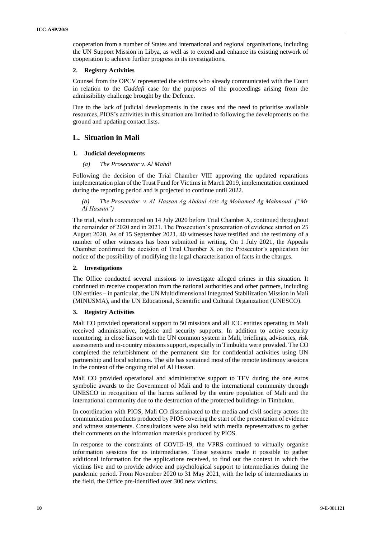cooperation from a number of States and international and regional organisations, including the UN Support Mission in Libya, as well as to extend and enhance its existing network of cooperation to achieve further progress in its investigations.

### **2. Registry Activities**

Counsel from the OPCV represented the victims who already communicated with the Court in relation to the *Gaddafi* case for the purposes of the proceedings arising from the admissibility challenge brought by the Defence.

Due to the lack of judicial developments in the cases and the need to prioritise available resources, PIOS's activities in this situation are limited to following the developments on the ground and updating contact lists.

### **L. Situation in Mali**

### **1. Judicial developments**

### *(a) The Prosecutor v. Al Mahdi*

Following the decision of the Trial Chamber VIII approving the updated reparations implementation plan of the Trust Fund for Victims in March 2019, implementation continued during the reporting period and is projected to continue until 2022.

*(b) The Prosecutor v. Al Hassan Ag Abdoul Aziz Ag Mohamed Ag Mahmoud ("Mr Al Hassan")*

The trial, which commenced on 14 July 2020 before Trial Chamber X, continued throughout the remainder of 2020 and in 2021. The Prosecution's presentation of evidence started on 25 August 2020. As of 15 September 2021, 40 witnesses have testified and the testimony of a number of other witnesses has been submitted in writing. On 1 July 2021, the Appeals Chamber confirmed the decision of Trial Chamber X on the Prosecutor's application for notice of the possibility of modifying the legal characterisation of facts in the charges.

### **2. Investigations**

The Office conducted several missions to investigate alleged crimes in this situation. It continued to receive cooperation from the national authorities and other partners, including UN entities – in particular, the UN Multidimensional Integrated Stabilization Mission in Mali (MINUSMA), and the UN Educational, Scientific and Cultural Organization (UNESCO).

### **3. Registry Activities**

Mali CO provided operational support to 50 missions and all ICC entities operating in Mali received administrative, logistic and security supports. In addition to active security monitoring, in close liaison with the UN common system in Mali, briefings, advisories, risk assessments and in-country missions support, especially in Timbuktu were provided. The CO completed the refurbishment of the permanent site for confidential activities using UN partnership and local solutions. The site has sustained most of the remote testimony sessions in the context of the ongoing trial of Al Hassan.

Mali CO provided operational and administrative support to TFV during the one euros symbolic awards to the Government of Mali and to the international community through UNESCO in recognition of the harms suffered by the entire population of Mali and the international community due to the destruction of the protected buildings in Timbuktu.

In coordination with PIOS, Mali CO disseminated to the media and civil society actors the communication products produced by PIOS covering the start of the presentation of evidence and witness statements. Consultations were also held with media representatives to gather their comments on the information materials produced by PIOS.

In response to the constraints of COVID-19, the VPRS continued to virtually organise information sessions for its intermediaries. These sessions made it possible to gather additional information for the applications received, to find out the context in which the victims live and to provide advice and psychological support to intermediaries during the pandemic period. From November 2020 to 31 May 2021, with the help of intermediaries in the field, the Office pre-identified over 300 new victims.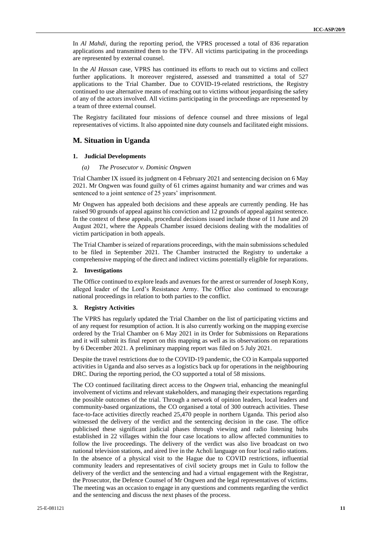In *Al Mahdi*, during the reporting period, the VPRS processed a total of 836 reparation applications and transmitted them to the TFV. All victims participating in the proceedings are represented by external counsel.

In the *Al Hassan* case, VPRS has continued its efforts to reach out to victims and collect further applications. It moreover registered, assessed and transmitted a total of 527 applications to the Trial Chamber. Due to COVID-19-related restrictions, the Registry continued to use alternative means of reaching out to victims without jeopardising the safety of any of the actors involved. All victims participating in the proceedings are represented by a team of three external counsel.

The Registry facilitated four missions of defence counsel and three missions of legal representatives of victims. It also appointed nine duty counsels and facilitated eight missions.

### **M. Situation in Uganda**

#### **1. Judicial Developments**

*(a) The Prosecutor v. Dominic Ongwen*

Trial Chamber IX issued its judgment on 4 February 2021 and sentencing decision on 6 May 2021. Mr Ongwen was found guilty of 61 crimes against humanity and war crimes and was sentenced to a joint sentence of 25 years' imprisonment.

Mr Ongwen has appealed both decisions and these appeals are currently pending. He has raised 90 grounds of appeal against his conviction and 12 grounds of appeal against sentence. In the context of these appeals, procedural decisions issued include those of 11 June and 20 August 2021, where the Appeals Chamber issued decisions dealing with the modalities of victim participation in both appeals.

The Trial Chamber is seized of reparations proceedings, with the main submissions scheduled to be filed in September 2021. The Chamber instructed the Registry to undertake a comprehensive mapping of the direct and indirect victims potentially eligible for reparations.

#### **2. Investigations**

The Office continued to explore leads and avenues for the arrest or surrender of Joseph Kony, alleged leader of the Lord's Resistance Army. The Office also continued to encourage national proceedings in relation to both parties to the conflict.

### **3. Registry Activities**

The VPRS has regularly updated the Trial Chamber on the list of participating victims and of any request for resumption of action. It is also currently working on the mapping exercise ordered by the Trial Chamber on 6 May 2021 in its Order for Submissions on Reparations and it will submit its final report on this mapping as well as its observations on reparations by 6 December 2021. A preliminary mapping report was filed on 5 July 2021.

Despite the travel restrictions due to the COVID-19 pandemic, the CO in Kampala supported activities in Uganda and also serves as a logistics back up for operations in the neighbouring DRC. During the reporting period, the CO supported a total of 58 missions.

The CO continued facilitating direct access to the *Ongwen* trial, enhancing the meaningful involvement of victims and relevant stakeholders, and managing their expectations regarding the possible outcomes of the trial. Through a network of opinion leaders, local leaders and community-based organizations, the CO organised a total of 300 outreach activities. These face-to-face activities directly reached 25,470 people in northern Uganda. This period also witnessed the delivery of the verdict and the sentencing decision in the case. The office publicised these significant judicial phases through viewing and radio listening hubs established in 22 villages within the four case locations to allow affected communities to follow the live proceedings. The delivery of the verdict was also live broadcast on two national television stations, and aired live in the Acholi language on four local radio stations. In the absence of a physical visit to the Hague due to COVID restrictions, influential community leaders and representatives of civil society groups met in Gulu to follow the delivery of the verdict and the sentencing and had a virtual engagement with the Registrar, the Prosecutor, the Defence Counsel of Mr Ongwen and the legal representatives of victims. The meeting was an occasion to engage in any questions and comments regarding the verdict and the sentencing and discuss the next phases of the process.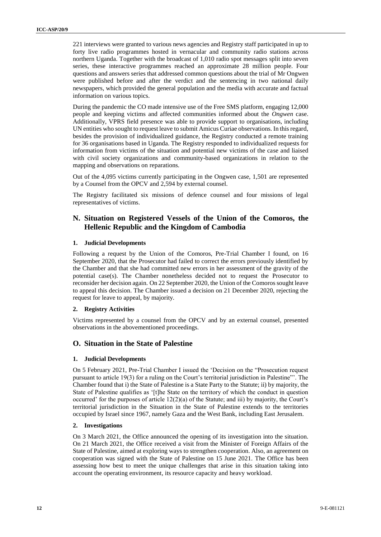221 interviews were granted to various news agencies and Registry staff participated in up to forty live radio programmes hosted in vernacular and community radio stations across northern Uganda. Together with the broadcast of 1,010 radio spot messages split into seven series, these interactive programmes reached an approximate 28 million people. Four questions and answers series that addressed common questions about the trial of Mr Ongwen were published before and after the verdict and the sentencing in two national daily newspapers, which provided the general population and the media with accurate and factual information on various topics.

During the pandemic the CO made intensive use of the Free SMS platform, engaging 12,000 people and keeping victims and affected communities informed about the *Ongwen* case. Additionally, VPRS field presence was able to provide support to organisations, including UN entities who sought to request leave to submit Amicus Curiae observations. In this regard, besides the provision of individualized guidance, the Registry conducted a remote training for 36 organisations based in Uganda. The Registry responded to individualized requests for information from victims of the situation and potential new victims of the case and liaised with civil society organizations and community-based organizations in relation to the mapping and observations on reparations.

Out of the 4,095 victims currently participating in the Ongwen case, 1,501 are represented by a Counsel from the OPCV and 2,594 by external counsel.

The Registry facilitated six missions of defence counsel and four missions of legal representatives of victims.

### **N. Situation on Registered Vessels of the Union of the Comoros, the Hellenic Republic and the Kingdom of Cambodia**

### **1. Judicial Developments**

Following a request by the Union of the Comoros, Pre-Trial Chamber I found, on 16 September 2020, that the Prosecutor had failed to correct the errors previously identified by the Chamber and that she had committed new errors in her assessment of the gravity of the potential case(s). The Chamber nonetheless decided not to request the Prosecutor to reconsider her decision again. On 22 September 2020, the Union of the Comoros sought leave to appeal this decision. The Chamber issued a decision on 21 December 2020, rejecting the request for leave to appeal, by majority.

### **2. Registry Activities**

Victims represented by a counsel from the OPCV and by an external counsel, presented observations in the abovementioned proceedings.

### **O. Situation in the State of Palestine**

### **1. Judicial Developments**

On 5 February 2021, Pre-Trial Chamber I issued the 'Decision on the "Prosecution request pursuant to article 19(3) for a ruling on the Court's territorial jurisdiction in Palestine"'. The Chamber found that i) the State of Palestine is a State Party to the Statute; ii) by majority, the State of Palestine qualifies as '[t]he State on the territory of which the conduct in question occurred' for the purposes of article 12(2)(a) of the Statute; and iii) by majority, the Court's territorial jurisdiction in the Situation in the State of Palestine extends to the territories occupied by Israel since 1967, namely Gaza and the West Bank, including East Jerusalem.

### **2. Investigations**

On 3 March 2021, the Office announced the opening of its investigation into the situation. On 21 March 2021, the Office received a visit from the Minister of Foreign Affairs of the State of Palestine, aimed at exploring ways to strengthen cooperation. Also, an agreement on cooperation was signed with the State of Palestine on 15 June 2021. The Office has been assessing how best to meet the unique challenges that arise in this situation taking into account the operating environment, its resource capacity and heavy workload.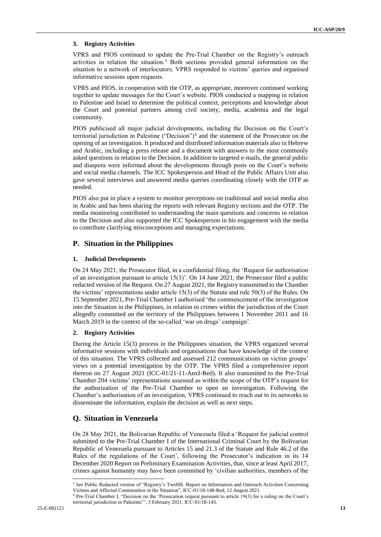### **3. Registry Activities**

VPRS and PIOS continued to update the Pre-Trial Chamber on the Registry's outreach activities in relation the situation.<sup>3</sup> Both sections provided general information on the situation to a network of interlocutors. VPRS responded to victims' queries and organised informative sessions upon requests.

VPRS and PIOS, in cooperation with the OTP, as appropriate, moreover continued working together to update messages for the Court's website. PIOS conducted a mapping in relation to Palestine and Israel to determine the political context, perceptions and knowledge about the Court and potential partners among civil society, media, academia and the legal community.

PIOS publicised all major judicial developments, including the Decision on the Court's territorial jurisdiction in Palestine ("Decision")<sup>4</sup> and the statement of the Prosecutor on the opening of an investigation. It produced and distributed information materials also in Hebrew and Arabic, including a press release and a document with answers to the most commonly asked questions in relation to the Decision. In addition to targeted e-mails, the general public and diaspora were informed about the developments through posts on the Court's website and social media channels. The ICC Spokesperson and Head of the Public Affairs Unit also gave several interviews and answered media queries coordinating closely with the OTP as needed.

PIOS also put in place a system to monitor perceptions on traditional and social media also in Arabic and has been sharing the reports with relevant Registry sections and the OTP. The media monitoring contributed to understanding the main questions and concerns in relation to the Decision and also supported the ICC Spokesperson in his engagement with the media to contribute clarifying misconceptions and managing expectations.

### **P. Situation in the Philippines**

### **1. Judicial Developments**

On 24 May 2021, the Prosecutor filed, in a confidential filing, the 'Request for authorisation of an investigation pursuant to article 15(3)'. On 14 June 2021, the Prosecutor filed a public redacted version of the Request. On 27 August 2021, the Registry transmitted to the Chamber the victims' representations under article 15(3) of the Statute and rule 50(3) of the Rules. On 15 September 2021, Pre-Trial Chamber I authorised 'the commencement of the investigation into the Situation in the Philippines, in relation to crimes within the jurisdiction of the Court allegedly committed on the territory of the Philippines between 1 November 2011 and 16 March 2019 in the context of the so-called 'war on drugs' campaign'.

### **2. Registry Activities**

During the Article 15(3) process in the Philippines situation, the VPRS organized several informative sessions with individuals and organisations that have knowledge of the context of this situation. The VPRS collected and assessed 212 communications on victim groups' views on a potential investigation by the OTP. The VPRS filed a comprehensive report thereon on 27 August 2021 (ICC-01/21-11-AnxI-Red). It also transmitted to the Pre-Trial Chamber 204 victims' representations assessed as within the scope of the OTP's request for the authorization of the Pre-Trial Chamber to open an investigation. Following the Chamber's authorisation of an investigation, VPRS continued to reach out to its networks to disseminate the information, explain the decision as well as next steps.

## **Q. Situation in Venezuela**

On 28 May 2021, the Bolivarian Republic of Venezuela filed a 'Request for judicial control submitted to the Pre-Trial Chamber I of the International Criminal Court by the Bolivarian Republic of Venezuela pursuant to Articles 15 and 21.3 of the Statute and Rule 46.2 of the Rules of the regulations of the Court', following the Prosecutor's indication in its 14 December 2020 Report on Preliminary Examination Activities, that, since at least April 2017, crimes against humanity may have been committed by 'civilian authorities, members of the

<sup>&</sup>lt;sup>3</sup> See Public Redacted version of "Registry's Twelfth Report on Information and Outreach Activities Concerning Victims and Affected Communities in the Situation", ICC-01/18-148-Red, 12 August 2021.

<sup>&</sup>lt;sup>4</sup> Pre-Trial Chamber I, "Decision on the 'Prosecution request pursuant to article 19(3) for a ruling on the Court's territorial jurisdiction in Palestine'", 5 February 2021, ICC-01/18-143.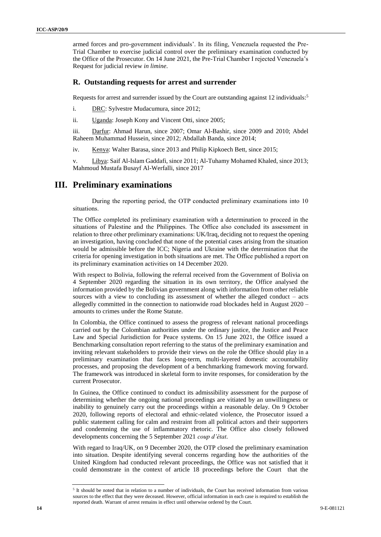armed forces and pro-government individuals'. In its filing, Venezuela requested the Pre-Trial Chamber to exercise judicial control over the preliminary examination conducted by the Office of the Prosecutor. On 14 June 2021, the Pre-Trial Chamber I rejected Venezuela's Request for judicial review *in limine*.

### **R. Outstanding requests for arrest and surrender**

Requests for arrest and surrender issued by the Court are outstanding against 12 individuals:<sup>5</sup>

- i. DRC: Sylvestre Mudacumura, since 2012;
- ii. Uganda: Joseph Kony and Vincent Otti, since 2005;

iii. Darfur: Ahmad Harun, since 2007; Omar Al-Bashir, since 2009 and 2010; Abdel Raheem Muhammad Hussein, since 2012; Abdallah Banda, since 2014;

iv. Kenya: Walter Barasa, since 2013 and Philip Kipkoech Bett, since 2015;

v. Libya: Saif Al-Islam Gaddafi, since 2011; Al-Tuhamy Mohamed Khaled, since 2013; Mahmoud Mustafa Busayf Al-Werfalli, since 2017

### **III. Preliminary examinations**

During the reporting period, the OTP conducted preliminary examinations into 10 situations.

The Office completed its preliminary examination with a determination to proceed in the situations of Palestine and the Philippines. The Office also concluded its assessment in relation to three other preliminary examinations: UK/Iraq, deciding not to request the opening an investigation, having concluded that none of the potential cases arising from the situation would be admissible before the ICC; Nigeria and Ukraine with the determination that the criteria for opening investigation in both situations are met. The Office published a report on its preliminary examination activities on 14 December 2020.

With respect to Bolivia, following the referral received from the Government of Bolivia on 4 September 2020 regarding the situation in its own territory, the Office analysed the information provided by the Bolivian government along with information from other reliable sources with a view to concluding its assessment of whether the alleged conduct – acts allegedly committed in the connection to nationwide road blockades held in August 2020 – amounts to crimes under the Rome Statute.

In Colombia, the Office continued to assess the progress of relevant national proceedings carried out by the Colombian authorities under the ordinary justice, the Justice and Peace Law and Special Jurisdiction for Peace systems. On 15 June 2021, the Office issued a Benchmarking consultation report referring to the status of the preliminary examination and inviting relevant stakeholders to provide their views on the role the Office should play in a preliminary examination that faces long-term, multi-layered domestic accountability processes, and proposing the development of a benchmarking framework moving forward. The framework was introduced in skeletal form to invite responses, for consideration by the current Prosecutor.

In Guinea, the Office continued to conduct its admissibility assessment for the purpose of determining whether the ongoing national proceedings are vitiated by an unwillingness or inability to genuinely carry out the proceedings within a reasonable delay. On 9 October 2020, following reports of electoral and ethnic-related violence, the Prosecutor issued a public statement calling for calm and restraint from all political actors and their supporters and condemning the use of inflammatory rhetoric. The Office also closely followed developments concerning the 5 September 2021 *coup d'état*.

With regard to Iraq/UK, on 9 December 2020, the OTP closed the preliminary examination into situation. Despite identifying several concerns regarding how the authorities of the United Kingdom had conducted relevant proceedings, the Office was not satisfied that it could demonstrate in the context of article 18 proceedings before the Court that the

<sup>&</sup>lt;sup>5</sup> It should be noted that in relation to a number of individuals, the Court has received information from various sources to the effect that they were deceased. However, official information in each case is required to establish the reported death. Warrant of arrest remains in effect until otherwise ordered by the Court.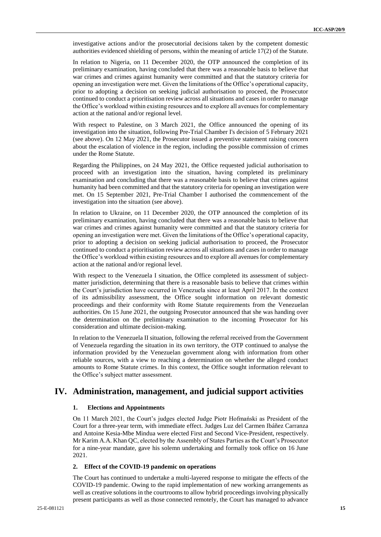investigative actions and/or the prosecutorial decisions taken by the competent domestic authorities evidenced shielding of persons, within the meaning of article 17(2) of the Statute.

In relation to Nigeria, on 11 December 2020, the OTP announced the completion of its preliminary examination, having concluded that there was a reasonable basis to believe that war crimes and crimes against humanity were committed and that the statutory criteria for opening an investigation were met. Given the limitations of the Office's operational capacity, prior to adopting a decision on seeking judicial authorisation to proceed, the Prosecutor continued to conduct a prioritisation review across all situations and cases in order to manage the Office's workload within existing resources and to explore all avenues for complementary action at the national and/or regional level.

With respect to Palestine, on 3 March 2021, the Office announced the opening of its investigation into the situation, following Pre-Trial Chamber I's decision of 5 February 2021 (see above). On 12 May 2021, the Prosecutor issued a preventive statement raising concern about the escalation of violence in the region, including the possible commission of crimes under the Rome Statute.

Regarding the Philippines, on 24 May 2021, the Office requested judicial authorisation to proceed with an investigation into the situation, having completed its preliminary examination and concluding that there was a reasonable basis to believe that crimes against humanity had been committed and that the statutory criteria for opening an investigation were met. On 15 September 2021, Pre-Trial Chamber I authorised the commencement of the investigation into the situation (see above).

In relation to Ukraine, on 11 December 2020, the OTP announced the completion of its preliminary examination, having concluded that there was a reasonable basis to believe that war crimes and crimes against humanity were committed and that the statutory criteria for opening an investigation were met. Given the limitations of the Office's operational capacity, prior to adopting a decision on seeking judicial authorisation to proceed, the Prosecutor continued to conduct a prioritisation review across all situations and cases in order to manage the Office's workload within existing resources and to explore all avenues for complementary action at the national and/or regional level.

With respect to the Venezuela I situation, the Office completed its assessment of subjectmatter jurisdiction, determining that there is a reasonable basis to believe that crimes within the Court's jurisdiction have occurred in Venezuela since at least April 2017. In the context of its admissibility assessment, the Office sought information on relevant domestic proceedings and their conformity with Rome Statute requirements from the Venezuelan authorities. On 15 June 2021, the outgoing Prosecutor announced that she was handing over the determination on the preliminary examination to the incoming Prosecutor for his consideration and ultimate decision-making.

In relation to the Venezuela II situation, following the referral received from the Government of Venezuela regarding the situation in its own territory, the OTP continued to analyse the information provided by the Venezuelan government along with information from other reliable sources, with a view to reaching a determination on whether the alleged conduct amounts to Rome Statute crimes. In this context, the Office sought information relevant to the Office's subject matter assessment.

### **IV. Administration, management, and judicial support activities**

### **1. Elections and Appointments**

On 11 March 2021, the Court's judges elected Judge Piotr Hofmański as President of the Court for a three-year term, with immediate effect. Judges Luz del Carmen Ibáñez Carranza and Antoine Kesia-Mbe Mindua were elected First and Second Vice-President, respectively. Mr Karim A.A. Khan QC, elected by the Assembly of States Parties as the Court's Prosecutor for a nine-year mandate, gave his solemn undertaking and formally took office on 16 June 2021.

### **2. Effect of the COVID-19 pandemic on operations**

The Court has continued to undertake a multi-layered response to mitigate the effects of the COVID-19 pandemic. Owing to the rapid implementation of new working arrangements as well as creative solutions in the courtrooms to allow hybrid proceedings involving physically present participants as well as those connected remotely, the Court has managed to advance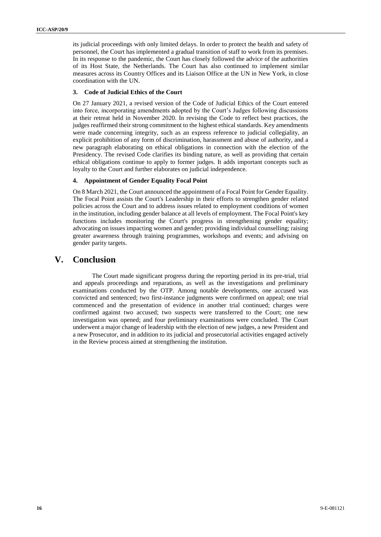its judicial proceedings with only limited delays. In order to protect the health and safety of personnel, the Court has implemented a gradual transition of staff to work from its premises. In its response to the pandemic, the Court has closely followed the advice of the authorities of its Host State, the Netherlands. The Court has also continued to implement similar measures across its Country Offices and its Liaison Office at the UN in New York, in close coordination with the UN.

### **3. Code of Judicial Ethics of the Court**

On 27 January 2021, a revised version of the Code of Judicial Ethics of the Court entered into force, incorporating amendments adopted by the Court's Judges following discussions at their retreat held in November 2020. In revising the Code to reflect best practices, the judges reaffirmed their strong commitment to the highest ethical standards. Key amendments were made concerning integrity, such as an express reference to judicial collegiality, an explicit prohibition of any form of discrimination, harassment and abuse of authority, and a new paragraph elaborating on ethical obligations in connection with the election of the Presidency. The revised Code clarifies its binding nature, as well as providing that certain ethical obligations continue to apply to former judges. It adds important concepts such as loyalty to the Court and further elaborates on judicial independence.

### **4. Appointment of Gender Equality Focal Point**

On 8 March 2021, the Court announced the appointment of a Focal Point for Gender Equality. The Focal Point assists the Court's Leadership in their efforts to strengthen gender related policies across the Court and to address issues related to employment conditions of women in the institution, including gender balance at all levels of employment. The Focal Point's key functions includes monitoring the Court's progress in strengthening gender equality; advocating on issues impacting women and gender; providing individual counselling; raising greater awareness through training programmes, workshops and events; and advising on gender parity targets.

### **V. Conclusion**

The Court made significant progress during the reporting period in its pre-trial, trial and appeals proceedings and reparations, as well as the investigations and preliminary examinations conducted by the OTP. Among notable developments, one accused was convicted and sentenced; two first-instance judgments were confirmed on appeal; one trial commenced and the presentation of evidence in another trial continued; charges were confirmed against two accused; two suspects were transferred to the Court; one new investigation was opened; and four preliminary examinations were concluded. The Court underwent a major change of leadership with the election of new judges, a new President and a new Prosecutor, and in addition to its judicial and prosecutorial activities engaged actively in the Review process aimed at strengthening the institution.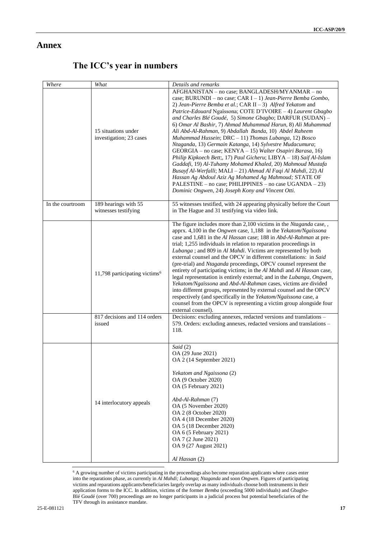## **Annex**

| Where            | What                                           | Details and remarks                                                                                                                                                                                                                                                                                                                                                                                                                                                                                                                                                                                                                                                                                                                                                                                                                                                                                                                                                                                   |
|------------------|------------------------------------------------|-------------------------------------------------------------------------------------------------------------------------------------------------------------------------------------------------------------------------------------------------------------------------------------------------------------------------------------------------------------------------------------------------------------------------------------------------------------------------------------------------------------------------------------------------------------------------------------------------------------------------------------------------------------------------------------------------------------------------------------------------------------------------------------------------------------------------------------------------------------------------------------------------------------------------------------------------------------------------------------------------------|
|                  | 15 situations under<br>investigation; 23 cases | AFGHANISTAN - no case; BANGLADESH/MYANMAR - no<br>case; BURUNDI - no case; CAR I - 1) Jean-Pierre Bemba Gombo,<br>2) Jean-Pierre Bemba et al.; CAR II $-3$ ) Alfred Yekatom and<br>Patrice-Edouard Ngaïssona; COTE D'IVOIRE - 4) Laurent Gbagbo<br>and Charles Blé Goudé, 5) Simone Gbagbo; DARFUR (SUDAN) -<br>6) Omar Al Bashir, 7) Ahmad Muhammad Harun, 8) Ali Muhammad<br>Ali Abd-Al-Rahman, 9) Abdallah Banda, 10) Abdel Raheem<br>Muhammad Hussein; DRC - 11) Thomas Lubanga, 12) Bosco<br>Ntaganda, 13) Germain Katanga, 14) Sylvestre Mudacumura;<br>GEORGIA – no case; KENYA – 15) Walter Osapiri Barasa, 16)<br>Philip Kipkoech Bett;, 17) Paul Gicheru; LIBYA - 18) Saif Al-Islam<br>Gaddafi, 19) Al-Tuhamy Mohamed Khaled, 20) Mahmoud Mustafa<br>Busayf Al-Werfalli; MALI - 21) Ahmad Al Faqi Al Mahdi, 22) Al<br>Hassan Ag Abdoul Aziz Ag Mohamed Ag Mahmoud; STATE OF<br>PALESTINE - no case; PHILIPPINES - no case UGANDA - 23)<br>Dominic Ongwen, 24) Joseph Kony and Vincent Otti. |
| In the courtroom | 189 hearings with 55<br>witnesses testifying   | 55 witnesses testified, with 24 appearing physically before the Court<br>in The Hague and 31 testifying via video link.                                                                                                                                                                                                                                                                                                                                                                                                                                                                                                                                                                                                                                                                                                                                                                                                                                                                               |
|                  | 11,798 participating victims <sup>6</sup>      | The figure includes more than 2,100 victims in the Ntaganda case,,<br>apprx. 4,100 in the <i>Ongwen</i> case, 1,188 in the <i>Yekatom/Ngaïssona</i><br>case and 1,681 in the Al Hassan case; 188 in Abd-Al-Rahman at pre-<br>trial; 1,255 individuals in relation to reparation proceedings in<br>Lubanga; and 809 in Al Mahdi. Victims are represented by both<br>external counsel and the OPCV in different constellations: in Said<br>(pre-trial) and Ntaganda proceedings, OPCV counsel represent the<br>entirety of participating victims; in the Al Mahdi and Al Hassan case,<br>legal representation is entirely external; and in the Lubanga, Ongwen,<br>Yekatom/Ngaïssona and Abd-Al-Rahman cases, victims are divided<br>into different groups, represented by external counsel and the OPCV<br>respectively (and specifically in the Yekatom/Ngaïssona case, a<br>counsel from the OPCV is representing a victim group alongside four<br>external counsel).                                |
|                  | 817 decisions and 114 orders<br>issued         | Decisions: excluding annexes, redacted versions and translations -<br>579. Orders: excluding annexes, redacted versions and translations -<br>118.                                                                                                                                                                                                                                                                                                                                                                                                                                                                                                                                                                                                                                                                                                                                                                                                                                                    |
|                  | 14 interlocutory appeals                       | Said (2)<br>OA (29 June 2021)<br>OA 2 (14 September 2021)<br>Yekatom and Ngaissona (2)<br>OA (9 October 2020)<br>OA (5 February 2021)<br>Abd-Al-Rahman (7)<br>OA (5 November 2020)<br>OA 2 (8 October 2020)<br>OA 4 (18 December 2020)<br>OA 5 (18 December 2020)<br>OA 6 (5 February 2021)<br>OA 7 (2 June 2021)<br>OA 9 (27 August 2021)<br>Al Hassan (2)                                                                                                                                                                                                                                                                                                                                                                                                                                                                                                                                                                                                                                           |

## **The ICC's year in numbers**

<sup>6</sup> A growing number of victims participating in the proceedings also become reparation applicants where cases enter into the reparations phase, as currently in *Al Mahdi; Lubanga*; *Ntaganda* and soon *Ongwen*. Figures of participating victims and reparations applicants/beneficiaries largely overlap as many individuals choose both instruments in their application forms to the ICC. In addition, victims of the former *Bemba* (exceeding 5000 individuals) and Gbagbo-Blé Goudé (over 700) proceedings are no longer participants in a judicial process but potential beneficiaries of the TFV through its assistance mandate.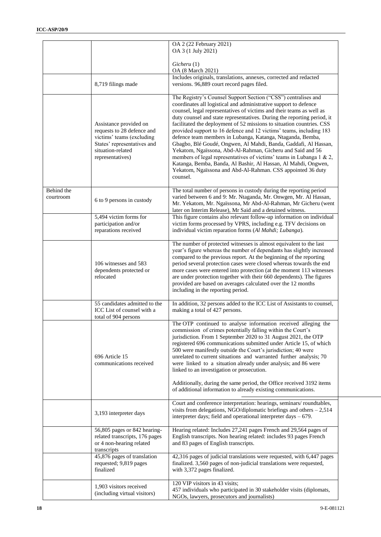|                         |                                                                                                                                                           | OA 2 (22 February 2021)<br>OA 3 (1 July 2021)                                                                                                                                                                                                                                                                                                                                                                                                                                                                                                                                                                                                                                                                                                                                                                                                             |
|-------------------------|-----------------------------------------------------------------------------------------------------------------------------------------------------------|-----------------------------------------------------------------------------------------------------------------------------------------------------------------------------------------------------------------------------------------------------------------------------------------------------------------------------------------------------------------------------------------------------------------------------------------------------------------------------------------------------------------------------------------------------------------------------------------------------------------------------------------------------------------------------------------------------------------------------------------------------------------------------------------------------------------------------------------------------------|
|                         |                                                                                                                                                           | Gicheru(1)<br>OA (8 March 2021)                                                                                                                                                                                                                                                                                                                                                                                                                                                                                                                                                                                                                                                                                                                                                                                                                           |
|                         | 8,719 filings made                                                                                                                                        | Includes originals, translations, annexes, corrected and redacted<br>versions. 96,889 court record pages filed.                                                                                                                                                                                                                                                                                                                                                                                                                                                                                                                                                                                                                                                                                                                                           |
|                         | Assistance provided on<br>requests to 28 defence and<br>victims' teams (excluding<br>States' representatives and<br>situation-related<br>representatives) | The Registry's Counsel Support Section ("CSS") centralises and<br>coordinates all logistical and administrative support to defence<br>counsel, legal representatives of victims and their teams as well as<br>duty counsel and state representatives. During the reporting period, it<br>facilitated the deployment of 52 missions to situation countries. CSS<br>provided support to 16 defence and 12 victims' teams, including 183<br>defence team members in Lubanga, Katanga, Ntaganda, Bemba,<br>Gbagbo, Blé Goudé, Ongwen, Al Mahdi, Banda, Gaddafi, Al Hassan,<br>Yekatom, Ngaïssona, Abd-Al-Rahman, Gicheru and Said and 56<br>members of legal representatives of victims' teams in Lubanga 1 & 2,<br>Katanga, Bemba, Banda, Al Bashir, Al Hassan, Al Mahdi, Ongwen,<br>Yekatom, Ngaïssona and Abd-Al-Rahman. CSS appointed 36 duty<br>counsel. |
| Behind the<br>courtroom | 6 to 9 persons in custody                                                                                                                                 | The total number of persons in custody during the reporting period<br>varied between 6 and 9: Mr. Ntaganda, Mr. Onwgen, Mr. Al Hassan,<br>Mr. Yekatom, Mr. Ngaïssona, Mr Abd-Al-Rahman, Mr Gicheru (went<br>later on Interim Release), Mr Said and a detained witness.                                                                                                                                                                                                                                                                                                                                                                                                                                                                                                                                                                                    |
|                         | 5,494 victim forms for<br>participation and/or<br>reparations received                                                                                    | This figure contains also relevant follow-up information on individual<br>victim forms processed by VPRS, including e.g. TFV decisions on<br>individual victim reparation forms (Al Mahdi; Lubanga).                                                                                                                                                                                                                                                                                                                                                                                                                                                                                                                                                                                                                                                      |
|                         | 106 witnesses and 583<br>dependents protected or<br>relocated                                                                                             | The number of protected witnesses is almost equivalent to the last<br>year's figure whereas the number of dependants has slightly increased<br>compared to the previous report. At the beginning of the reporting<br>period several protection cases were closed whereas towards the end<br>more cases were entered into protection (at the moment 113 witnesses<br>are under protection together with their 660 dependents). The figures<br>provided are based on averages calculated over the 12 months<br>including in the reporting period.                                                                                                                                                                                                                                                                                                           |
|                         | 55 candidates admitted to the<br>ICC List of counsel with a<br>total of 904 persons                                                                       | In addition, 32 persons added to the ICC List of Assistants to counsel,<br>making a total of 427 persons.                                                                                                                                                                                                                                                                                                                                                                                                                                                                                                                                                                                                                                                                                                                                                 |
|                         | 696 Article 15<br>communications received                                                                                                                 | The OTP continued to analyse information received alleging the<br>commission of crimes potentially falling within the Court's<br>jurisdiction. From 1 September 2020 to 31 August 2021, the OTP<br>registered 696 communications submitted under Article 15, of which<br>500 were manifestly outside the Court's jurisdiction; 40 were<br>unrelated to current situations and warranted further analysis; 70<br>were linked to a situation already under analysis; and 86 were<br>linked to an investigation or prosecution.<br>Additionally, during the same period, the Office received 3192 items<br>of additional information to already existing communications.                                                                                                                                                                                     |
|                         | 3,193 interpreter days                                                                                                                                    | Court and conference interpretation: hearings, seminars/roundtables,<br>visits from delegations, NGO/diplomatic briefings and others $-2,514$<br>interpreter days; field and operational interpreter days $-679$ .                                                                                                                                                                                                                                                                                                                                                                                                                                                                                                                                                                                                                                        |
|                         | 56,805 pages or 842 hearing-<br>related transcripts, 176 pages<br>or 4 non-hearing related<br>transcripts                                                 | Hearing related: Includes 27,241 pages French and 29,564 pages of<br>English transcripts. Non hearing related: includes 93 pages French<br>and 83 pages of English transcripts.                                                                                                                                                                                                                                                                                                                                                                                                                                                                                                                                                                                                                                                                           |
|                         | 45,876 pages of translation<br>requested; 9,819 pages<br>finalized                                                                                        | 42,316 pages of judicial translations were requested, with 6,447 pages<br>finalized. 3,560 pages of non-judicial translations were requested,<br>with 3,372 pages finalized.                                                                                                                                                                                                                                                                                                                                                                                                                                                                                                                                                                                                                                                                              |
|                         | 1,903 visitors received<br>(including virtual visitors)                                                                                                   | 120 VIP visitors in 43 visits;<br>457 individuals who participated in 30 stakeholder visits (diplomats,<br>NGOs, lawyers, prosecutors and journalists)                                                                                                                                                                                                                                                                                                                                                                                                                                                                                                                                                                                                                                                                                                    |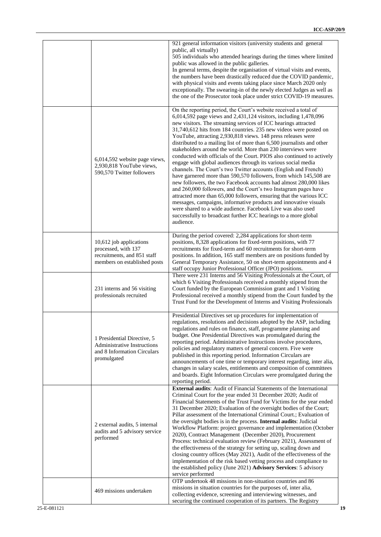|                                                                                                                 | 921 general information visitors (university students and general<br>public, all virtually)<br>505 individuals who attended hearings during the times where limited<br>public was allowed in the public galleries.<br>In general terms, despite the organisation of virtual visits and events,<br>the numbers have been drastically reduced due the COVID pandemic,<br>with physical visits and events taking place since March 2020 only<br>exceptionally. The swearing-in of the newly elected Judges as well as<br>the one of the Prosecutor took place under strict COVID-19 measures.                                                                                                                                                                                                                                                                                                                                                                                                                                                                                                                                                                                                                 |
|-----------------------------------------------------------------------------------------------------------------|------------------------------------------------------------------------------------------------------------------------------------------------------------------------------------------------------------------------------------------------------------------------------------------------------------------------------------------------------------------------------------------------------------------------------------------------------------------------------------------------------------------------------------------------------------------------------------------------------------------------------------------------------------------------------------------------------------------------------------------------------------------------------------------------------------------------------------------------------------------------------------------------------------------------------------------------------------------------------------------------------------------------------------------------------------------------------------------------------------------------------------------------------------------------------------------------------------|
| 6,014,592 website page views,<br>2,930,818 YouTube views,<br>590,570 Twitter followers                          | On the reporting period, the Court's website received a total of<br>6,014,592 page views and 2,431,124 visitors, including 1,478,096<br>new visitors. The streaming services of ICC hearings attracted<br>31,740,612 hits from 184 countries. 235 new videos were posted on<br>YouTube, attracting 2,930,818 views. 148 press releases were<br>distributed to a mailing list of more than 6,500 journalists and other<br>stakeholders around the world. More than 230 interviews were<br>conducted with officials of the Court. PIOS also continued to actively<br>engage with global audiences through its various social media<br>channels. The Court's two Twitter accounts (English and French)<br>have garnered more than 590,570 followers, from which 145,508 are<br>new followers, the two Facebook accounts had almost 280,000 likes<br>and 260,000 followers, and the Court's two Instagram pages have<br>attracted more than 65,000 followers, ensuring that the various ICC<br>messages, campaigns, informative products and innovative visuals<br>were shared to a wide audience. Facebook Live was also used<br>successfully to broadcast further ICC hearings to a more global<br>audience. |
| 10,612 job applications<br>processed, with 137<br>recruitments, and 851 staff<br>members on established posts   | During the period covered: 2,284 applications for short-term<br>positions, 8,328 applications for fixed-term positions, with 77<br>recruitments for fixed-term and 60 recruitments for short-term<br>positions. In addition, 165 staff members are on positions funded by<br>General Temporary Assistance, 50 on short-term appointments and 4<br>staff occupy Junior Professional Officer (JPO) positions.                                                                                                                                                                                                                                                                                                                                                                                                                                                                                                                                                                                                                                                                                                                                                                                                |
| 231 interns and 56 visiting<br>professionals recruited                                                          | There were 231 Interns and 56 Visiting Professionals at the Court, of<br>which 6 Visiting Professionals received a monthly stipend from the<br>Court funded by the European Commission grant and 1 Visiting<br>Professional received a monthly stipend from the Court funded by the<br>Trust Fund for the Development of Interns and Visiting Professionals                                                                                                                                                                                                                                                                                                                                                                                                                                                                                                                                                                                                                                                                                                                                                                                                                                                |
| 1 Presidential Directive, 5<br><b>Administrative Instructions</b><br>and 8 Information Circulars<br>promulgated | Presidential Directives set up procedures for implementation of<br>regulations, resolutions and decisions adopted by the ASP, including<br>regulations and rules on finance, staff, programme planning and<br>budget. One Presidential Directives was promulgated during the<br>reporting period. Administrative Instructions involve procedures,<br>policies and regulatory matters of general concern. Five were<br>published in this reporting period. Information Circulars are<br>announcements of one time or temporary interest regarding, inter alia,<br>changes in salary scales, entitlements and composition of committees<br>and boards. Eight Information Circulars were promulgated during the<br>reporting period.                                                                                                                                                                                                                                                                                                                                                                                                                                                                          |
| 2 external audits, 5 internal<br>audits and 5 advisory service<br>performed                                     | <b>External audits:</b> Audit of Financial Statements of the International<br>Criminal Court for the year ended 31 December 2020; Audit of<br>Financial Statements of the Trust Fund for Victims for the year ended<br>31 December 2020; Evaluation of the oversight bodies of the Court;<br>Pillar assessment of the International Criminal Court.; Evaluation of<br>the oversight bodies is in the process. Internal audits: Judicial<br>Workflow Platform: project governance and implementation (October<br>2020), Contract Management (December 2020), Procurement<br>Process: technical evaluation review (February 2021), Assessment of<br>the effectiveness of the strategy for setting up, scaling down and<br>closing country offices (May 2021), Audit of the effectiveness of the<br>implementation of the risk based vetting process and compliance to<br>the established policy (June 2021) Advisory Services: 5 advisory<br>service performed                                                                                                                                                                                                                                               |
| 469 missions undertaken                                                                                         | OTP undertook 48 missions in non-situation countries and 86<br>missions in situation countries for the purposes of, inter alia,<br>collecting evidence, screening and interviewing witnesses, and<br>securing the continued cooperation of its partners. The Registry                                                                                                                                                                                                                                                                                                                                                                                                                                                                                                                                                                                                                                                                                                                                                                                                                                                                                                                                      |